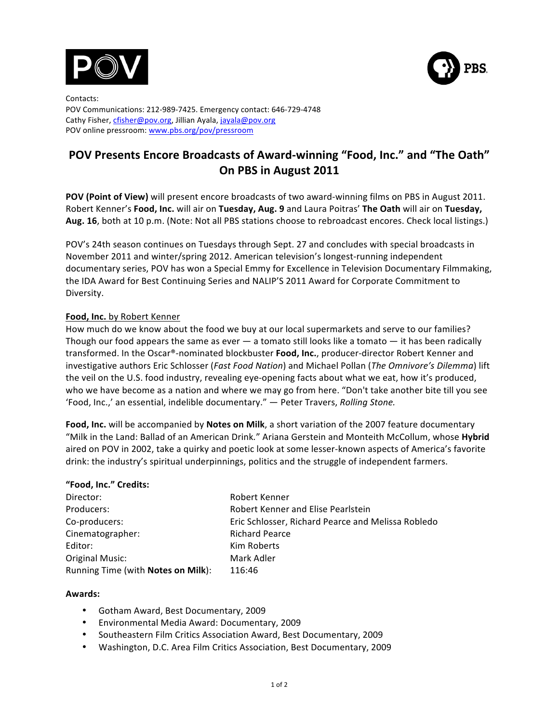



Contacts: POV Communications: 212-989-7425. Emergency contact: 646-729-4748 Cathy Fisher, cfisher@pov.org, Jillian Ayala, jayala@pov.org POV online pressroom: www.pbs.org/pov/pressroom

# POV Presents Encore Broadcasts of Award-winning "Food, Inc." and "The Oath" **On PBS in August 2011**

**POV (Point of View)** will present encore broadcasts of two award-winning films on PBS in August 2011. Robert Kenner's Food, Inc. will air on Tuesday, Aug. 9 and Laura Poitras' The Oath will air on Tuesday, Aug. 16, both at 10 p.m. (Note: Not all PBS stations choose to rebroadcast encores. Check local listings.)

POV's 24th season continues on Tuesdays through Sept. 27 and concludes with special broadcasts in November 2011 and winter/spring 2012. American television's longest-running independent documentary series, POV has won a Special Emmy for Excellence in Television Documentary Filmmaking, the IDA Award for Best Continuing Series and NALIP'S 2011 Award for Corporate Commitment to Diversity.

## **Food, Inc.** by Robert Kenner

How much do we know about the food we buy at our local supermarkets and serve to our families? Though our food appears the same as ever  $-$  a tomato still looks like a tomato  $-$  it has been radically transformed. In the Oscar®-nominated blockbuster **Food, Inc.**, producer-director Robert Kenner and investigative authors Eric Schlosser (*Fast Food Nation*) and Michael Pollan (*The Omnivore's Dilemma*) lift the veil on the U.S. food industry, revealing eye-opening facts about what we eat, how it's produced, who we have become as a nation and where we may go from here. "Don't take another bite till you see 'Food, Inc.,' an essential, indelible documentary." — Peter Travers, *Rolling Stone*.

Food, Inc. will be accompanied by Notes on Milk, a short variation of the 2007 feature documentary "Milk in the Land: Ballad of an American Drink." Ariana Gerstein and Monteith McCollum, whose Hybrid aired on POV in 2002, take a quirky and poetic look at some lesser-known aspects of America's favorite drink: the industry's spiritual underpinnings, politics and the struggle of independent farmers.

#### **"Food,!Inc."!Credits:**

| Director:                          | Robert Kenner                                      |  |
|------------------------------------|----------------------------------------------------|--|
| Producers:                         | Robert Kenner and Elise Pearlstein                 |  |
| Co-producers:                      | Eric Schlosser, Richard Pearce and Melissa Robledo |  |
| Cinematographer:                   | <b>Richard Pearce</b>                              |  |
| Editor:                            | Kim Roberts                                        |  |
| Original Music:                    | Mark Adler                                         |  |
| Running Time (with Notes on Milk): | 116:46                                             |  |

#### **Awards:**

- Gotham Award, Best Documentary, 2009
- Environmental Media Award: Documentary, 2009
- Southeastern Film Critics Association Award, Best Documentary, 2009
- Washington, D.C. Area Film Critics Association, Best Documentary, 2009